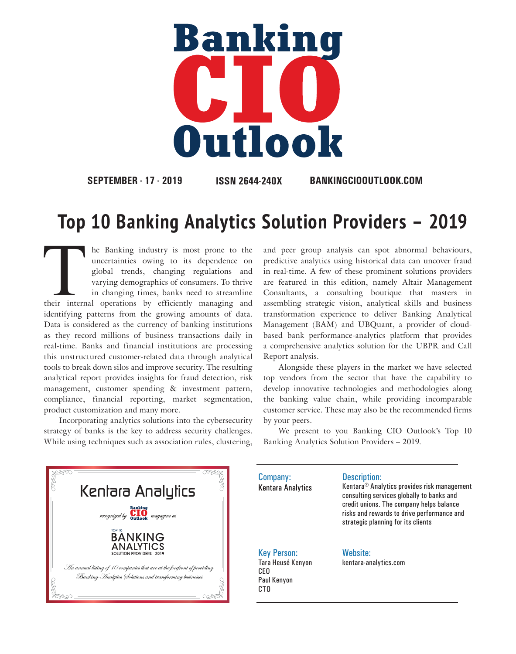

**SEPTEMBER - 17 - 2019 ISSN 2644-240X BANKINGCIOOUTLOOK.COM**

## **Top 10 Banking Analytics Solution Providers – 2019**

CTO

The Banking industry is most prone to the uncertainties owing to its dependence on global trends, changing regulations and varying demographics of consumers. To thrive in changing times, banks need to streamline their inte uncertainties owing to its dependence on global trends, changing regulations and varying demographics of consumers. To thrive in changing times, banks need to streamline identifying patterns from the growing amounts of data. Data is considered as the currency of banking institutions as they record millions of business transactions daily in real-time. Banks and financial institutions are processing this unstructured customer-related data through analytical tools to break down silos and improve security. The resulting analytical report provides insights for fraud detection, risk management, customer spending & investment pattern, compliance, financial reporting, market segmentation, product customization and many more.

Incorporating analytics solutions into the cybersecurity strategy of banks is the key to address security challenges. While using techniques such as association rules, clustering, and peer group analysis can spot abnormal behaviours, predictive analytics using historical data can uncover fraud in real-time. A few of these prominent solutions providers are featured in this edition, namely Altair Management Consultants, a consulting boutique that masters in assembling strategic vision, analytical skills and business transformation experience to deliver Banking Analytical Management (BAM) and UBQuant, a provider of cloudbased bank performance-analytics platform that provides a comprehensive analytics solution for the UBPR and Call Report analysis.

Alongside these players in the market we have selected top vendors from the sector that have the capability to develop innovative technologies and methodologies along the banking value chain, while providing incomparable customer service. These may also be the recommended firms by your peers.

We present to you Banking CIO Outlook's Top 10 Banking Analytics Solution Providers – 2019.



Company: Kentara Analytics Description: Kentara® Analytics provides risk management consulting services globally to banks and credit unions. The company helps balance risks and rewards to drive performance and strategic planning for its clients Key Person: Tara Heusé Kenyon CEO Paul Kenyon Website:<br>kentara-analytics.com